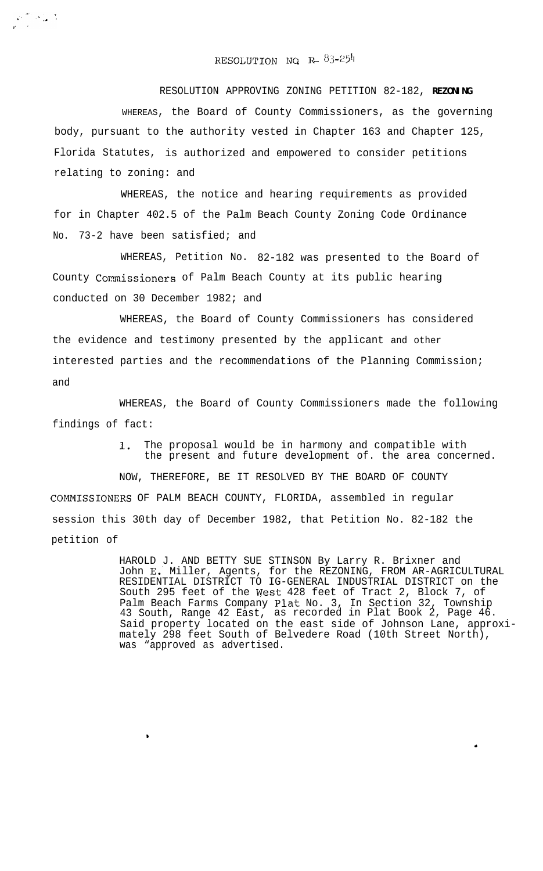## $\texttt{RESOLUTION}$  NQ  $\texttt{R=83-254}$

RESOLUTION APPROVING ZONING PETITION 82-182, **REZONING** WHEREAS, the Board of County Commissioners, as the governing body, pursuant to the authority vested in Chapter 163 and Chapter 125, Florida Statutes, is authorized and empowered to consider petitions relating to zoning: and

WHEREAS, the notice and hearing requirements as provided for in Chapter 402.5 of the Palm Beach County Zoning Code Ordinance No. 73-2 have been satisfied; and

WHEREAS, Petition No. 82-182 was presented to the Board of County Commissioners of Palm Beach County at its public hearing conducted on 30 December 1982; and

WHEREAS, the Board of County Commissioners has considered the evidence and testimony presented by the applicant and other interested parties and the recommendations of the Planning Commission; and

WHEREAS, the Board of County Commissioners made the following findings of fact:

> **1.** The proposal would be in harmony and compatible with the present and future development of. the area concerned.

NOW, THEREFORE, BE IT RESOLVED BY THE BOARD OF COUNTY COMMISSIONERS OF PALM BEACH COUNTY, FLORIDA, assembled in regular session this 30th day of December 1982, that Petition No. 82-182 the petition of

,

 $\frac{1}{\sqrt{2}}\sum_{i=1}^{n-1}\frac{1}{\sqrt{2}}\sum_{i=1}^{n-1}\frac{1}{\sqrt{2}}\sum_{i=1}^{n-1}\frac{1}{\sqrt{2}}\sum_{i=1}^{n-1}\frac{1}{\sqrt{2}}\sum_{i=1}^{n-1}\frac{1}{\sqrt{2}}\sum_{i=1}^{n-1}\frac{1}{\sqrt{2}}\sum_{i=1}^{n-1}\frac{1}{\sqrt{2}}\sum_{i=1}^{n-1}\frac{1}{\sqrt{2}}\sum_{i=1}^{n-1}\frac{1}{\sqrt{2}}\sum_{i=1}^{n-1}\frac{1}{\sqrt{2}}$ 

HAROLD J. AND BETTY SUE STINSON By Larry R. Brixner and John E.. Miller, Agents, for the REZONING, FROM AR-AGRICULTURAL RESIDENTIAL DISTRICT TO IG-GENERAL INDUSTRIAL DISTRICT on the South 295 feet of the West 428 feet of Tract 2, Block 7, of Palm Beach Farms Company Plat No. 3, In Section 32, Township 43 South, Range 42 East, as recorded in Plat Book 2, Page 46. Said property located on the east side of Johnson Lane, approximately 298 feet South of Belvedere Road (10th Street North), was "approved as advertised.

.